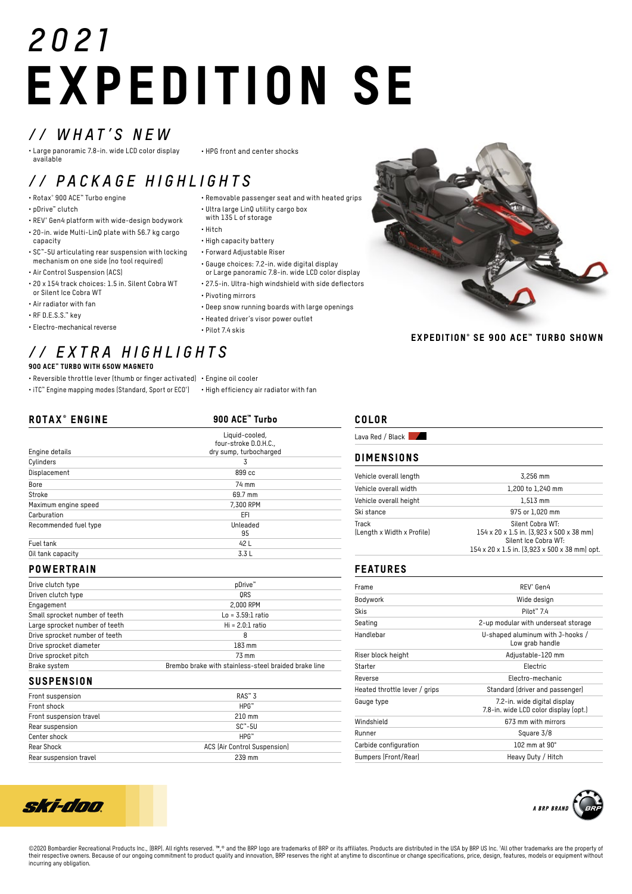# *2021* EXPEDITION SE

## *// WHAT'S NEW*

• Large panoramic 7.8-in. wide LCD color display available

#### • HPG front and center shocks

# *// PACKAGE HIGHLIGHTS*

- Rotax® 900 ACE™ Turbo engine
- pDrive™ clutch
- REV® Gen4 platform with wide-design bodywork
- 20-in. wide Multi-LinQ plate with 56.7 kg cargo capacity
- SC™-5U articulating rear suspension with locking mechanism on one side (no tool required)
- Air Control Suspension (ACS)
- 20 x 154 track choices: 1.5 in. Silent Cobra WT or Silent Ice Cobra WT
- Air radiator with fan
- RF D.E.S.S.™ key
- Electro-mechanical reverse

#### *// EXTRA HIGHLIGHTS* 900 ACE™ TURBO WITH 650W MAGNETO

- Reversible throttle lever (thumb or finger activated) Engine oil cooler
- iTC™ Engine mapping modes (Standard, Sport or ECO® ) High efficiency air radiator with fan

| <b>ROTAX<sup>®</sup> ENGINE</b> | 900 ACE <sup>*</sup> Turbo |  |
|---------------------------------|----------------------------|--|
|                                 | Liquid-cooled,             |  |
|                                 | four-stroke D.O.H.C.,      |  |
| Engine details                  | dry sump, turbocharged     |  |
| Cylinders                       | 3                          |  |
| Displacement                    | 899 <sub>cc</sub>          |  |
| Bore                            | 74 mm                      |  |
| Stroke                          | 69.7 mm                    |  |
| Maximum engine speed            | 7,300 RPM                  |  |
| Carburation                     | EFI                        |  |
| Recommended fuel type           | Unleaded                   |  |
|                                 | 95                         |  |
| Fuel tank                       | 42 L                       |  |
| Oil tank capacity               | 3.3L                       |  |

#### **POWERTRAIN**

| Drive clutch type              | pDrive <sup>™</sup>                                  |
|--------------------------------|------------------------------------------------------|
| Driven clutch type             | ORS                                                  |
| Engagement                     | 2,000 RPM                                            |
| Small sprocket number of teeth | $Lo = 3.59:1$ ratio                                  |
| Large sprocket number of teeth | $Hi = 2.0:1 ratio$                                   |
| Drive sprocket number of teeth | 8                                                    |
| Drive sprocket diameter        | 183 mm                                               |
| Drive sprocket pitch           | 73 mm                                                |
| Brake system                   | Brembo brake with stainless-steel braided brake line |

#### **SUSPENSION**

ski-don

| Front suspension        | $RAS^*$ 3                    |
|-------------------------|------------------------------|
| Front shock             | $HPG^m$                      |
| Front suspension travel | $210 \text{ mm}$             |
| Rear suspension         | $SC^* - 5U$                  |
| Center shock            | $HPG^m$                      |
| Rear Shock              | ACS (Air Control Suspension) |
| Rear suspension travel  | 239 mm                       |



EXPEDITION® SE 900 ACE™ TURBO SHOWN

#### COLOR

Lava Red / Black

#### DIMENSIONS

| Vehicle overall length              | 3,256 mm                                                                                                                              |
|-------------------------------------|---------------------------------------------------------------------------------------------------------------------------------------|
|                                     |                                                                                                                                       |
| Vehicle overall width               | 1,200 to 1,240 mm                                                                                                                     |
| Vehicle overall height              | $1.513$ mm                                                                                                                            |
| Ski stance                          | 975 or 1.020 mm                                                                                                                       |
| Track<br>(Length x Width x Profile) | Silent Cobra WT:<br>154 x 20 x 1.5 in. (3,923 x 500 x 38 mm)<br>Silent Ice Cobra WT:<br>154 x 20 x 1.5 in. (3,923 x 500 x 38 mm) opt. |

#### FEATURES

| Frame                         | REV <sup>®</sup> Gen4                                                 |
|-------------------------------|-----------------------------------------------------------------------|
| Bodywork                      | Wide design                                                           |
| <b>Skis</b>                   | Pilot <sup>*</sup> 7.4                                                |
| Seating                       | 2-up modular with underseat storage                                   |
| Handlebar                     | U-shaped aluminum with J-hooks /<br>Low grab handle                   |
| Riser block height            | Adjustable-120 mm                                                     |
| Starter                       | Electric                                                              |
| Reverse                       | Electro-mechanic                                                      |
| Heated throttle lever / grips | Standard (driver and passenger)                                       |
| Gauge type                    | 7.2-in. wide digital display<br>7.8-in. wide LCD color display (opt.) |
| Windshield                    | 673 mm with mirrors                                                   |
| Runner                        | Square 3/8                                                            |
| Carbide configuration         | 102 mm at $90^\circ$                                                  |
| Bumpers (Front/Rear)          | Heavy Duty / Hitch                                                    |



©2020 Bombardier Recreational Products Inc., (BRP). All rights reserved. ™,® and the BRP logo are trademarks of BRP or its affiliates. Products are distributed in the USA by BRP US Inc. 1All other trademarks are the prope their respective owners. Because of our ongoing commitment to product quality and innovation, BRP reserves the right at anytime to discontinue or change specifications, price, design, features, models or equipment without incurring any obligation.

• Gauge choices: 7.2-in. wide digital display or Large panoramic 7.8-in. wide LCD color display

• High capacity battery • Forward Adjustable Riser

• Ultra large LinQ utility cargo box with 135 L of storage

- 27.5-in. Ultra-high windshield with side deflectors
- Pivoting mirrors

• Hitch

- Deep snow running boards with large openings
- Heated driver's visor power outlet
- Pilot 7.4 skis